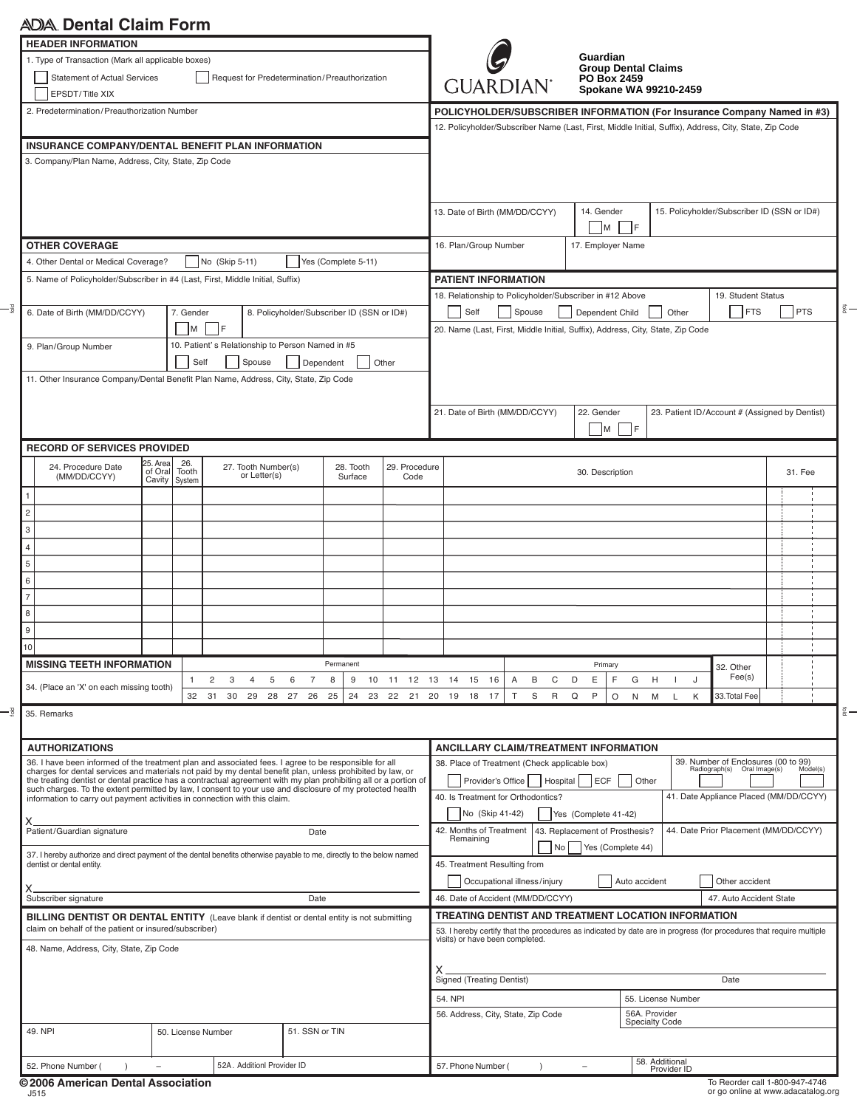# **Dental Claim Form**

| <b>HEADER INFORMATION</b><br>1. Type of Transaction (Mark all applicable boxes)<br><b>Statement of Actual Services</b><br>EPSDT/Title XIX                                                                           | Request for Predetermination/Preauthorization                                                                                                        | <b>GUARDIAN</b> <sup>®</sup>                                                                                                               |                                                            | Guardian<br><b>Group Dental Claims</b><br><b>PO Box 2459</b><br>Spokane WA 99210-2459 |                       |                                                                                                                                 |                                                                                                                                                                                                               |                                   |                                                |                    |         |  |
|---------------------------------------------------------------------------------------------------------------------------------------------------------------------------------------------------------------------|------------------------------------------------------------------------------------------------------------------------------------------------------|--------------------------------------------------------------------------------------------------------------------------------------------|------------------------------------------------------------|---------------------------------------------------------------------------------------|-----------------------|---------------------------------------------------------------------------------------------------------------------------------|---------------------------------------------------------------------------------------------------------------------------------------------------------------------------------------------------------------|-----------------------------------|------------------------------------------------|--------------------|---------|--|
| 2. Predetermination/Preauthorization Number                                                                                                                                                                         |                                                                                                                                                      | POLICYHOLDER/SUBSCRIBER INFORMATION (For Insurance Company Named in #3)                                                                    |                                                            |                                                                                       |                       |                                                                                                                                 |                                                                                                                                                                                                               |                                   |                                                |                    |         |  |
|                                                                                                                                                                                                                     |                                                                                                                                                      |                                                                                                                                            |                                                            |                                                                                       |                       | 12. Policyholder/Subscriber Name (Last, First, Middle Initial, Suffix), Address, City, State, Zip Code                          |                                                                                                                                                                                                               |                                   |                                                |                    |         |  |
| INSURANCE COMPANY/DENTAL BENEFIT PLAN INFORMATION<br>3. Company/Plan Name, Address, City, State, Zip Code                                                                                                           |                                                                                                                                                      |                                                                                                                                            |                                                            |                                                                                       |                       |                                                                                                                                 |                                                                                                                                                                                                               |                                   |                                                |                    |         |  |
|                                                                                                                                                                                                                     |                                                                                                                                                      | 13. Date of Birth (MM/DD/CCYY)                                                                                                             |                                                            | 15. Policyholder/Subscriber ID (SSN or ID#)<br>14. Gender<br>IF.<br>Iм                |                       |                                                                                                                                 |                                                                                                                                                                                                               |                                   |                                                |                    |         |  |
| <b>OTHER COVERAGE</b>                                                                                                                                                                                               |                                                                                                                                                      | 16. Plan/Group Number                                                                                                                      |                                                            | 17. Employer Name                                                                     |                       |                                                                                                                                 |                                                                                                                                                                                                               |                                   |                                                |                    |         |  |
| 4. Other Dental or Medical Coverage?                                                                                                                                                                                | No (Skip 5-11)                                                                                                                                       |                                                                                                                                            |                                                            |                                                                                       |                       |                                                                                                                                 |                                                                                                                                                                                                               |                                   |                                                |                    |         |  |
| 5. Name of Policyholder/Subscriber in #4 (Last, First, Middle Initial, Suffix)                                                                                                                                      |                                                                                                                                                      |                                                                                                                                            |                                                            |                                                                                       |                       | <b>PATIENT INFORMATION</b>                                                                                                      |                                                                                                                                                                                                               |                                   |                                                |                    |         |  |
|                                                                                                                                                                                                                     |                                                                                                                                                      |                                                                                                                                            |                                                            |                                                                                       |                       | 18. Relationship to Policyholder/Subscriber in #12 Above                                                                        |                                                                                                                                                                                                               |                                   |                                                | 19. Student Status |         |  |
| 6. Date of Birth (MM/DD/CCYY)<br>7. Gender<br>- IF<br> M                                                                                                                                                            |                                                                                                                                                      |                                                                                                                                            |                                                            | 8. Policyholder/Subscriber ID (SSN or ID#)                                            |                       |                                                                                                                                 | Spouse<br><b>FTS</b><br><b>PTS</b><br>Self<br>Dependent Child<br>Other<br>20. Name (Last, First, Middle Initial, Suffix), Address, City, State, Zip Code                                                      |                                   |                                                |                    |         |  |
| 9. Plan/Group Number                                                                                                                                                                                                |                                                                                                                                                      | Self                                                                                                                                       | 10. Patient's Relationship to Person Named in #5<br>Spouse | Dependent                                                                             | Other                 |                                                                                                                                 |                                                                                                                                                                                                               |                                   |                                                |                    |         |  |
| 11. Other Insurance Company/Dental Benefit Plan Name, Address, City, State, Zip Code                                                                                                                                |                                                                                                                                                      |                                                                                                                                            |                                                            |                                                                                       |                       |                                                                                                                                 |                                                                                                                                                                                                               |                                   |                                                |                    |         |  |
|                                                                                                                                                                                                                     |                                                                                                                                                      |                                                                                                                                            |                                                            |                                                                                       |                       |                                                                                                                                 |                                                                                                                                                                                                               |                                   |                                                |                    |         |  |
|                                                                                                                                                                                                                     |                                                                                                                                                      |                                                                                                                                            |                                                            |                                                                                       |                       | 21. Date of Birth (MM/DD/CCYY)                                                                                                  |                                                                                                                                                                                                               | 22. Gender<br>M  <br>IF.          | 23. Patient ID/Account # (Assigned by Dentist) |                    |         |  |
| <b>RECORD OF SERVICES PROVIDED</b>                                                                                                                                                                                  |                                                                                                                                                      |                                                                                                                                            |                                                            |                                                                                       |                       |                                                                                                                                 |                                                                                                                                                                                                               |                                   |                                                |                    |         |  |
| 24. Procedure Date<br>(MM/DD/CCYY)                                                                                                                                                                                  | 25. Area<br>of Oral                                                                                                                                  | 26.<br>Tooth<br>Cavity System                                                                                                              | 27. Tooth Number(s)<br>or Letter(s)                        | 28. Tooth<br>Surface                                                                  | 29. Procedure<br>Code |                                                                                                                                 |                                                                                                                                                                                                               | 30. Description                   |                                                |                    | 31. Fee |  |
|                                                                                                                                                                                                                     |                                                                                                                                                      |                                                                                                                                            |                                                            |                                                                                       |                       |                                                                                                                                 |                                                                                                                                                                                                               |                                   |                                                |                    |         |  |
| $\overline{c}$                                                                                                                                                                                                      |                                                                                                                                                      |                                                                                                                                            |                                                            |                                                                                       |                       |                                                                                                                                 |                                                                                                                                                                                                               |                                   |                                                |                    |         |  |
| 3                                                                                                                                                                                                                   |                                                                                                                                                      |                                                                                                                                            |                                                            |                                                                                       |                       |                                                                                                                                 |                                                                                                                                                                                                               |                                   |                                                |                    |         |  |
| $\overline{4}$                                                                                                                                                                                                      |                                                                                                                                                      |                                                                                                                                            |                                                            |                                                                                       |                       |                                                                                                                                 |                                                                                                                                                                                                               |                                   |                                                |                    |         |  |
| 5                                                                                                                                                                                                                   |                                                                                                                                                      |                                                                                                                                            |                                                            |                                                                                       |                       |                                                                                                                                 |                                                                                                                                                                                                               |                                   |                                                |                    |         |  |
| 6                                                                                                                                                                                                                   |                                                                                                                                                      |                                                                                                                                            |                                                            |                                                                                       |                       |                                                                                                                                 |                                                                                                                                                                                                               |                                   |                                                |                    |         |  |
| 7                                                                                                                                                                                                                   |                                                                                                                                                      |                                                                                                                                            |                                                            |                                                                                       |                       |                                                                                                                                 |                                                                                                                                                                                                               |                                   |                                                |                    |         |  |
| 8<br>9                                                                                                                                                                                                              |                                                                                                                                                      |                                                                                                                                            |                                                            |                                                                                       |                       |                                                                                                                                 |                                                                                                                                                                                                               |                                   |                                                |                    |         |  |
| 10                                                                                                                                                                                                                  |                                                                                                                                                      |                                                                                                                                            |                                                            |                                                                                       |                       |                                                                                                                                 |                                                                                                                                                                                                               |                                   |                                                |                    |         |  |
| <b>MISSING TEETH INFORMATION</b>                                                                                                                                                                                    |                                                                                                                                                      |                                                                                                                                            |                                                            | Permanent                                                                             |                       |                                                                                                                                 |                                                                                                                                                                                                               | Primary                           |                                                | 32. Other          |         |  |
|                                                                                                                                                                                                                     |                                                                                                                                                      | -1                                                                                                                                         | 2<br>3<br>5<br>4                                           | 6<br>7<br>8<br>9                                                                      | 10<br>11 12 13 14     | 15<br>16                                                                                                                        | B<br>C<br>A                                                                                                                                                                                                   | D<br>Ε<br>F<br>G                  | H<br>J<br>л.                                   | Fee(s)             |         |  |
| 34. (Place an 'X' on each missing tooth)                                                                                                                                                                            |                                                                                                                                                      |                                                                                                                                            | 32 31 30 29<br>28 27 26                                    | 25<br>24                                                                              | 23 22 21 20 19 18     | 17                                                                                                                              | $\mathsf T$<br>S<br>$\mathsf{R}$                                                                                                                                                                              | $\mathsf{P}$<br>Q<br>$\circ$<br>N | M<br>L<br>Κ                                    | 33. Total Fee      |         |  |
| 35. Remarks                                                                                                                                                                                                         |                                                                                                                                                      |                                                                                                                                            |                                                            |                                                                                       |                       |                                                                                                                                 |                                                                                                                                                                                                               |                                   |                                                |                    |         |  |
| <b>AUTHORIZATIONS</b>                                                                                                                                                                                               |                                                                                                                                                      |                                                                                                                                            |                                                            |                                                                                       |                       | <b>ANCILLARY CLAIM/TREATMENT INFORMATION</b>                                                                                    |                                                                                                                                                                                                               |                                   |                                                |                    |         |  |
| 36. I have been informed of the treatment plan and associated fees. I agree to be responsible for all<br>charges for dental services and materials not paid by my dental benefit plan, unless prohibited by law, or |                                                                                                                                                      |                                                                                                                                            |                                                            |                                                                                       |                       | 39. Number of Enclosures (00 to 99)<br>38. Place of Treatment (Check applicable box)<br>Radiograph(s) Oral Image(s)<br>Model(s) |                                                                                                                                                                                                               |                                   |                                                |                    |         |  |
| the treating dentist or dental practice has a contractual agreement with my plan prohibiting all or a portion of                                                                                                    |                                                                                                                                                      |                                                                                                                                            | Provider's Office<br>Hospital<br>ECF<br>Other              |                                                                                       |                       |                                                                                                                                 |                                                                                                                                                                                                               |                                   |                                                |                    |         |  |
| such charges. To the extent permitted by law, I consent to your use and disclosure of my protected health<br>information to carry out payment activities in connection with this claim.                             |                                                                                                                                                      |                                                                                                                                            |                                                            |                                                                                       |                       | 41. Date Appliance Placed (MM/DD/CCYY)<br>40. Is Treatment for Orthodontics?                                                    |                                                                                                                                                                                                               |                                   |                                                |                    |         |  |
|                                                                                                                                                                                                                     |                                                                                                                                                      |                                                                                                                                            |                                                            |                                                                                       |                       | No (Skip 41-42)                                                                                                                 |                                                                                                                                                                                                               | Yes (Complete 41-42)              |                                                |                    |         |  |
| Patient/Guardian signature                                                                                                                                                                                          |                                                                                                                                                      | 43. Replacement of Prosthesis?<br>44. Date Prior Placement (MM/DD/CCYY)<br>42. Months of Treatment<br>Remaining<br>Yes (Complete 44)<br>No |                                                            |                                                                                       |                       |                                                                                                                                 |                                                                                                                                                                                                               |                                   |                                                |                    |         |  |
| 37. I hereby authorize and direct payment of the dental benefits otherwise payable to me, directly to the below named<br>dentist or dental entity.                                                                  |                                                                                                                                                      |                                                                                                                                            |                                                            |                                                                                       |                       | 45. Treatment Resulting from                                                                                                    |                                                                                                                                                                                                               |                                   |                                                |                    |         |  |
|                                                                                                                                                                                                                     |                                                                                                                                                      |                                                                                                                                            |                                                            |                                                                                       |                       | Auto accident<br>Occupational illness/injury<br>Other accident                                                                  |                                                                                                                                                                                                               |                                   |                                                |                    |         |  |
| Subscriber signature<br>Date                                                                                                                                                                                        |                                                                                                                                                      |                                                                                                                                            |                                                            |                                                                                       |                       | 46. Date of Accident (MM/DD/CCYY)<br>47. Auto Accident State                                                                    |                                                                                                                                                                                                               |                                   |                                                |                    |         |  |
|                                                                                                                                                                                                                     | BILLING DENTIST OR DENTAL ENTITY (Leave blank if dentist or dental entity is not submitting<br>claim on behalf of the patient or insured/subscriber) |                                                                                                                                            |                                                            |                                                                                       |                       |                                                                                                                                 | TREATING DENTIST AND TREATMENT LOCATION INFORMATION<br>53. I hereby certify that the procedures as indicated by date are in progress (for procedures that require multiple<br>visits) or have been completed. |                                   |                                                |                    |         |  |
| 48. Name, Address, City, State, Zip Code                                                                                                                                                                            |                                                                                                                                                      |                                                                                                                                            |                                                            |                                                                                       |                       |                                                                                                                                 |                                                                                                                                                                                                               |                                   |                                                |                    |         |  |
|                                                                                                                                                                                                                     |                                                                                                                                                      |                                                                                                                                            |                                                            |                                                                                       |                       |                                                                                                                                 | <b>Signed (Treating Dentist)</b><br>Date                                                                                                                                                                      |                                   |                                                |                    |         |  |
|                                                                                                                                                                                                                     |                                                                                                                                                      |                                                                                                                                            |                                                            |                                                                                       |                       | 54. NPI<br>55. License Number                                                                                                   |                                                                                                                                                                                                               |                                   |                                                |                    |         |  |
| 49. NPI                                                                                                                                                                                                             | 50. License Number<br>51. SSN or TIN                                                                                                                 |                                                                                                                                            |                                                            |                                                                                       |                       |                                                                                                                                 | 56A. Provider<br>56. Address, City, State, Zip Code<br><b>Specialty Code</b>                                                                                                                                  |                                   |                                                |                    |         |  |
|                                                                                                                                                                                                                     |                                                                                                                                                      |                                                                                                                                            |                                                            |                                                                                       |                       |                                                                                                                                 |                                                                                                                                                                                                               |                                   |                                                |                    |         |  |
| 52. Phone Number (                                                                                                                                                                                                  | $\overline{\phantom{m}}$                                                                                                                             |                                                                                                                                            | 52A. Additionl Provider ID                                 |                                                                                       |                       | 57. Phone Number (                                                                                                              | $\lambda$                                                                                                                                                                                                     | $\overline{\phantom{a}}$          | 58. Additional<br>Provider ID                  |                    |         |  |